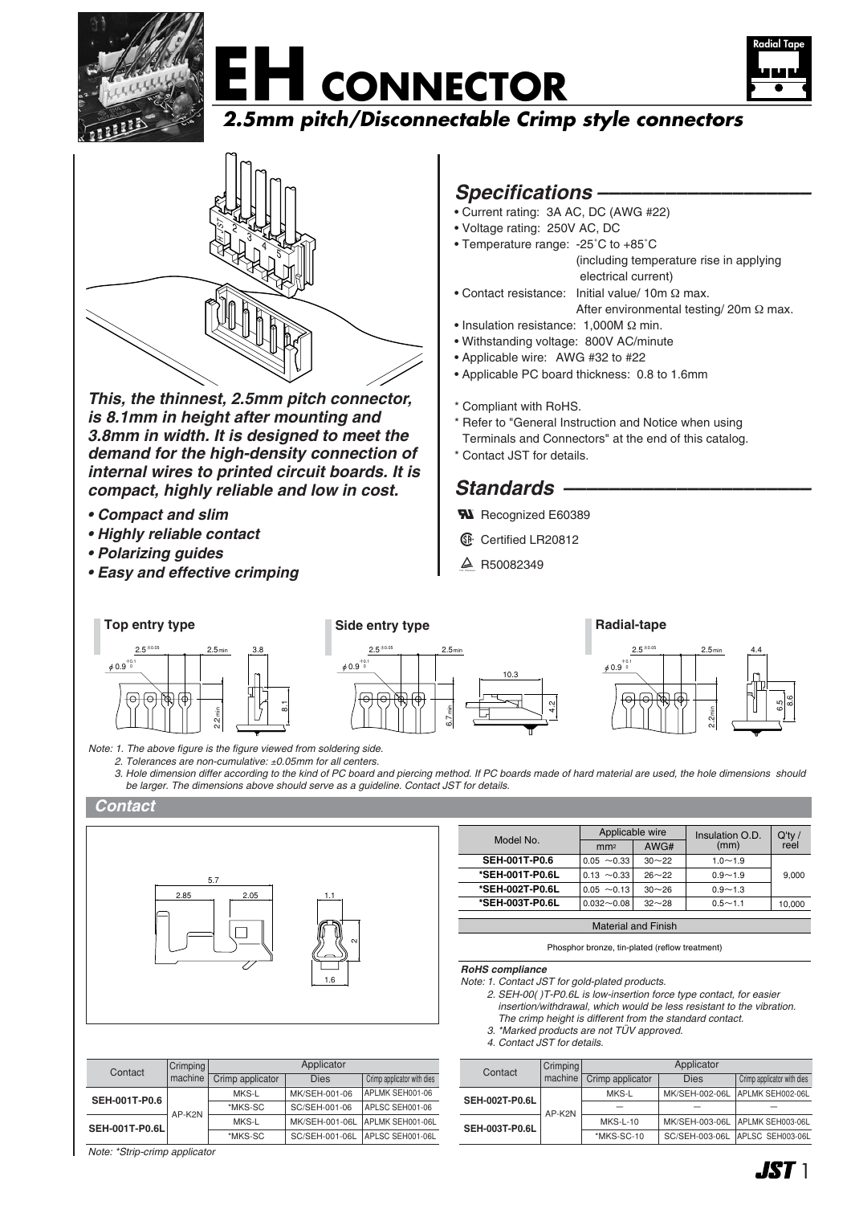





## **2.5mm pitch/Disconnectable Crimp style connectors**



*This, the thinnest, 2.5mm pitch connector, is 8.1mm in height after mounting and 3.8mm in width. It is designed to meet the demand for the high-density connection of internal wires to printed circuit boards. It is compact, highly reliable and low in cost.*

- *Compact and slim*
- *Highly reliable contact*
- *Polarizing guides*
- *Easy and effective crimping*

## *Specifications –––––––––––––––––––*

- Current rating: 3A AC, DC (AWG #22)
- Voltage rating: 250V AC, DC
- Temperature range: -25˚C to +85˚C (including temperature rise in applying electrical current) • Contact resistance: Initial value/ 10m Ω max.
	- After environmental testing/ 20m Ω max.
	- Insulation resistance: 1,000M Ω min.
	- Withstanding voltage: 800V AC/minute
	- Applicable wire: AWG #32 to #22
	- Applicable PC board thickness: 0.8 to 1.6mm
	- \* Compliant with RoHS.
	- \* Refer to "General Instruction and Notice when using Terminals and Connectors" at the end of this catalog.
	- \* Contact JST for details.

## *Standards ––––––––––––––––––––––*

- **W** Recognized E60389
- **6** Certified LR20812
- $\triangle$  R50082349



*2. Tolerances are non-cumulative:* ±*0.05mm for all centers.*

*3. Hole dimension differ according to the kind of PC board and piercing method. If PC boards made of hard material are used, the hole dimensions should be larger. The dimensions above should serve as a guideline. Contact JST for details.*

#### *Contact*



| Model No.                  | Applicable wire  |           | Insulation O.D. | $Q'$ ty / |  |
|----------------------------|------------------|-----------|-----------------|-----------|--|
|                            | mm <sup>2</sup>  | AWG#      | (mm)            | reel      |  |
| <b>SEH-001T-P0.6</b>       | $0.05 \sim 0.33$ | $30 - 22$ | $1.0 - 1.9$     |           |  |
| *SEH-001T-P0.6L            | $0.13 \sim 0.33$ | $26 - 22$ | $0.9 - 1.9$     | 9,000     |  |
| *SEH-002T-P0.6L            | $0.05 \sim 0.13$ | $30 - 26$ | $0.9 - 1.3$     |           |  |
| *SEH-003T-P0.6L            | $0.032 - 0.08$   | $32 - 28$ | $0.5 - 1.1$     | 10,000    |  |
|                            |                  |           |                 |           |  |
| <b>Material and Finish</b> |                  |           |                 |           |  |

Phosphor bronze, tin-plated (reflow treatment)

*RoHS compliance*

- *Note: 1. Contact JST for gold-plated products.*
	- *2. SEH-00( )T-P0.6L is low-insertion force type contact, for easier insertion/withdrawal, which would be less resistant to the vibration.*
	- *The crimp height is different from the standard contact. 3. \*Marked products are not TÜV approved.*
	- *4. Contact JST for details.*

| Contact               | Crimping | Applicator               |                |                            |  |
|-----------------------|----------|--------------------------|----------------|----------------------------|--|
|                       | machine  | Crimp applicator         | <b>Dies</b>    | Crimp applicator with dies |  |
| <b>SEH-002T-P0.6L</b> | AP-K2N   | MKS-L                    | MK/SEH-002-06L | APLMK SEH002-06L           |  |
|                       |          | $\overline{\phantom{a}}$ |                |                            |  |
| <b>SEH-003T-P0.6L</b> |          | $MKS-L-10$               | MK/SEH-003-06L | APLMK SEH003-06L           |  |
|                       |          | *MKS-SC-10               | SC/SEH-003-06L | APLSC SEH003-06L           |  |

| Contact               | Crimping | Applicator       |                |                            |  |
|-----------------------|----------|------------------|----------------|----------------------------|--|
|                       | machine  | Crimp applicator | Dies           | Crimp applicator with dies |  |
| <b>SEH-001T-P0.6</b>  | AP-K2N   | MKS-L            | MK/SEH-001-06  | APLMK SEH001-06            |  |
|                       |          | *MKS-SC          | SC/SEH-001-06  | APLSC SEH001-06            |  |
| <b>SEH-001T-P0.6L</b> |          | MKS-L            | MK/SEH-001-06L | APLMK SEH001-06L           |  |
|                       |          | *MKS-SC          | SC/SEH-001-06L | APLSC SEH001-06L           |  |
|                       |          |                  |                |                            |  |

*Note: \*Strip-crimp applicator*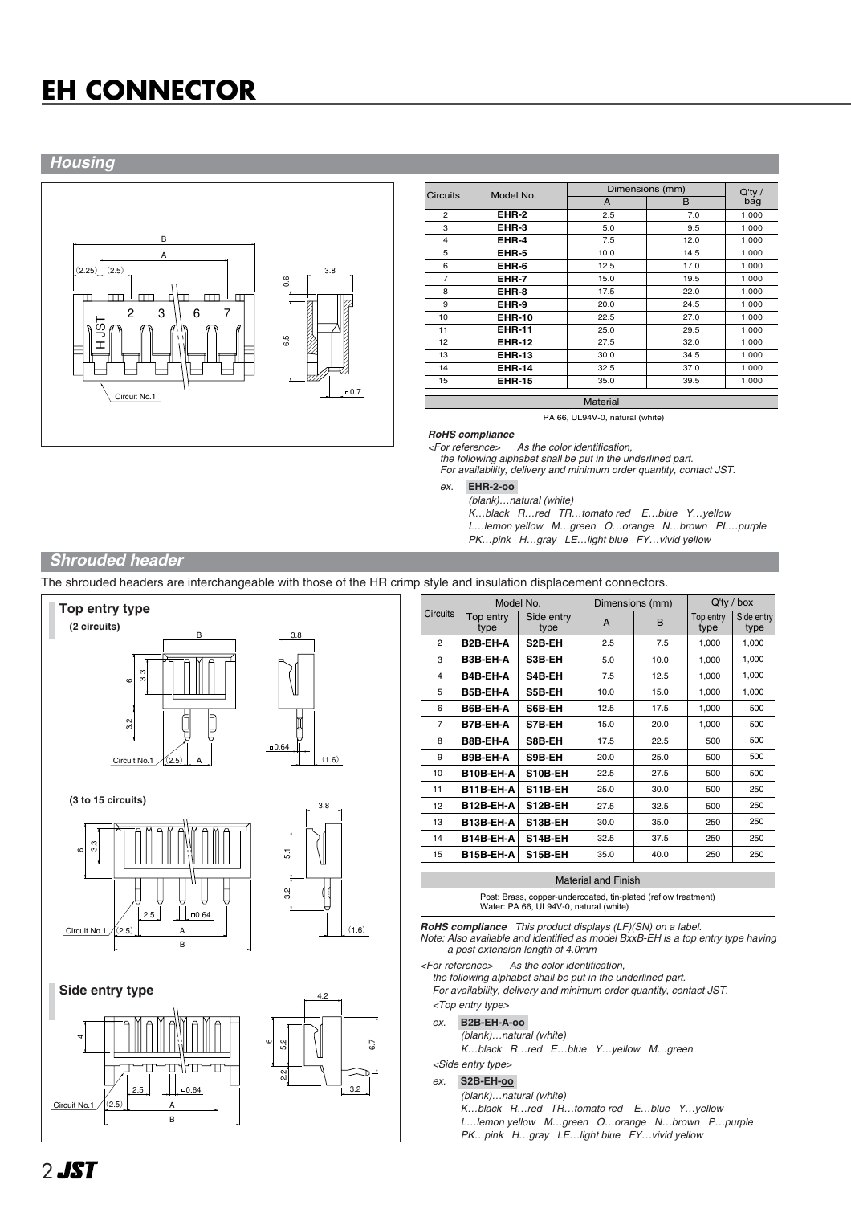# **EH CONNECTOR**

### *Housing*



| <b>Circuits</b> | Model No.     |      | Dimensions (mm) |                  |  |
|-----------------|---------------|------|-----------------|------------------|--|
|                 |               | A    | B               | $Q'$ ty /<br>bag |  |
| $\overline{a}$  | EHR-2         | 2.5  | 7.0             | 1,000            |  |
| 3               | EHR-3         | 5.0  | 9.5             | 1,000            |  |
| 4               | EHR-4         | 7.5  | 12.0            | 1,000            |  |
| 5               | EHR-5         | 10.0 | 14.5            | 1,000            |  |
| 6               | EHR-6         | 12.5 | 17.0            | 1,000            |  |
| 7               | EHR-7         | 15.0 | 19.5            | 1,000            |  |
| 8               | EHR-8         | 17.5 | 22.0            | 1,000            |  |
| 9               | EHR-9         | 20.0 | 24.5            | 1,000            |  |
| 10              | <b>EHR-10</b> | 22.5 | 27.0            | 1,000            |  |
| 11              | <b>EHR-11</b> | 25.0 | 29.5            | 1,000            |  |
| 12              | <b>EHR-12</b> | 27.5 | 32.0            | 1,000            |  |
| 13              | <b>EHR-13</b> | 30.0 | 34.5            | 1,000            |  |
| 14              | <b>EHR-14</b> | 32.5 | 37.0            | 1,000            |  |
| 15              | <b>EHR-15</b> | 35.0 | 39.5            | 1,000            |  |

PA 66, UL94V-0, natural (white)

## *RoHS compliance*

As the color identification

*the following alphabet shall be put in the underlined part. For availability, delivery and minimum order quantity, contact JST.*

*ex.* **EHR-2-oo-**

*(blank)…natural (white)*

*K…black R…red TR…tomato red E…blue Y…yellow L…lemon yellow M…green O…orange N…brown PL…purple*

*PK…pink H…gray LE…light blue FY…vivid yellow* 

### *Shrouded header*

The shrouded headers are interchangeable with those of the HR crimp style and insulation displacement connectors.



|                 | Model No.         |                     | Dimensions (mm) |      | $Q'$ ty / box     |                    |
|-----------------|-------------------|---------------------|-----------------|------|-------------------|--------------------|
| <b>Circuits</b> | Top entry<br>type | Side entry<br>type  | A               | B    | Top entry<br>type | Side entry<br>type |
| $\overline{2}$  | B2B-EH-A          | S <sub>2</sub> B-EH | 2.5             | 7.5  | 1,000             | 1,000              |
| 3               | B3B-EH-A          | S3B-EH              | 5.0             | 10.0 | 1,000             | 1,000              |
| 4               | B4B-EH-A          | S4B-EH              | 7.5             | 12.5 | 1,000             | 1,000              |
| 5               | B5B-EH-A          | S5B-EH              | 10.0            | 15.0 | 1,000             | 1,000              |
| 6               | B6B-EH-A          | S6B-EH              | 12.5            | 17.5 | 1.000             | 500                |
| 7               | B7B-EH-A          | S7B-EH              | 15.0            | 20.0 | 1,000             | 500                |
| 8               | B8B-EH-A          | S8B-EH              | 17.5            | 22.5 | 500               | 500                |
| 9               | B9B-EH-A          | S9B-EH              | 20.0            | 25.0 | 500               | 500                |
| 10              | B10B-EH-A         | S10B-EH             | 22.5            | 27.5 | 500               | 500                |
| 11              | B11B-EH-A         | <b>S11B-EH</b>      | 25.0            | 30.0 | 500               | 250                |
| 12              | B12B-EH-A         | S12B-EH             | 27.5            | 32.5 | 500               | 250                |
| 13              | B13B-EH-A         | S13B-EH             | 30.0            | 35.0 | 250               | 250                |
| 14              | B14B-EH-A         | <b>S14B-EH</b>      | 32.5            | 37.5 | 250               | 250                |
| 15              | B15B-EH-A         | S15B-EH             | 35.0            | 40.0 | 250               | 250                |
|                 |                   |                     |                 |      |                   |                    |

#### Material and Finish

Post: Brass, copper-undercoated, tin-plated (reflow treatment) Wafer: PA 66, UL94V-0, natural (white)

*RoHS compliance This product displays (LF)(SN) on a label.*

*Note: Also available and identified as model BxxB-EH is a top entry type having a post extension length of 4.0mm*

*<For reference> As the color identification,* 

*the following alphabet shall be put in the underlined part.*

*For availability, delivery and minimum order quantity, contact JST. <Top entry type>*

## *ex.* **B2B-EH-A-oo-**

*(blank)…natural (white) K…black R…red E…blue Y…yellow M…green*

*<Side entry type>*

#### *ex.* **S2B-EH-oo-**

*(blank)…natural (white)*

*K…black R…red TR…tomato red E…blue Y…yellow L…lemon yellow M…green O…orange N…brown P…purple PK…pink H…gray LE…light blue FY…vivid yellow*